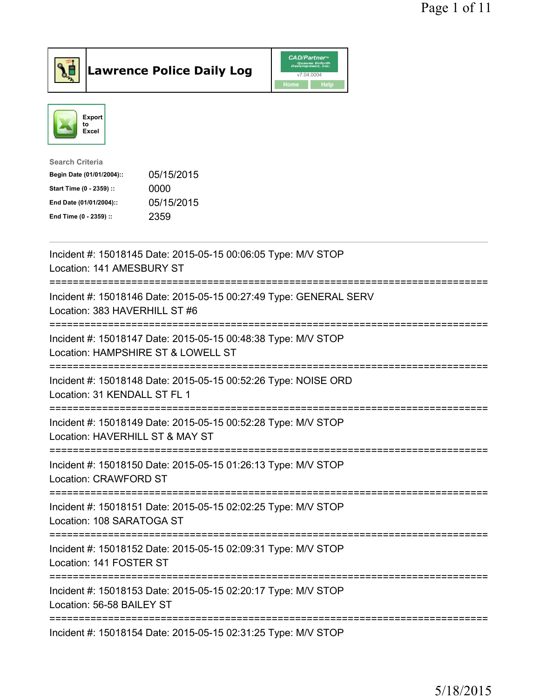

Lawrence Police Daily Log CAD/Partner



| 05/15/2015 |
|------------|
| 0000       |
| 05/15/2015 |
| 2359       |
|            |

| Incident #: 15018145 Date: 2015-05-15 00:06:05 Type: M/V STOP<br>Location: 141 AMESBURY ST                 |
|------------------------------------------------------------------------------------------------------------|
| Incident #: 15018146 Date: 2015-05-15 00:27:49 Type: GENERAL SERV<br>Location: 383 HAVERHILL ST #6         |
| Incident #: 15018147 Date: 2015-05-15 00:48:38 Type: M/V STOP<br>Location: HAMPSHIRE ST & LOWELL ST        |
| Incident #: 15018148 Date: 2015-05-15 00:52:26 Type: NOISE ORD<br>Location: 31 KENDALL ST FL 1             |
| Incident #: 15018149 Date: 2015-05-15 00:52:28 Type: M/V STOP<br>Location: HAVERHILL ST & MAY ST           |
| Incident #: 15018150 Date: 2015-05-15 01:26:13 Type: M/V STOP<br>Location: CRAWFORD ST                     |
| Incident #: 15018151 Date: 2015-05-15 02:02:25 Type: M/V STOP<br>Location: 108 SARATOGA ST<br>:=========== |
| Incident #: 15018152 Date: 2015-05-15 02:09:31 Type: M/V STOP<br>Location: 141 FOSTER ST<br>-------------- |
| Incident #: 15018153 Date: 2015-05-15 02:20:17 Type: M/V STOP<br>Location: 56-58 BAILEY ST                 |
| Incident #: 15018154 Date: 2015-05-15 02:31:25 Type: M/V STOP                                              |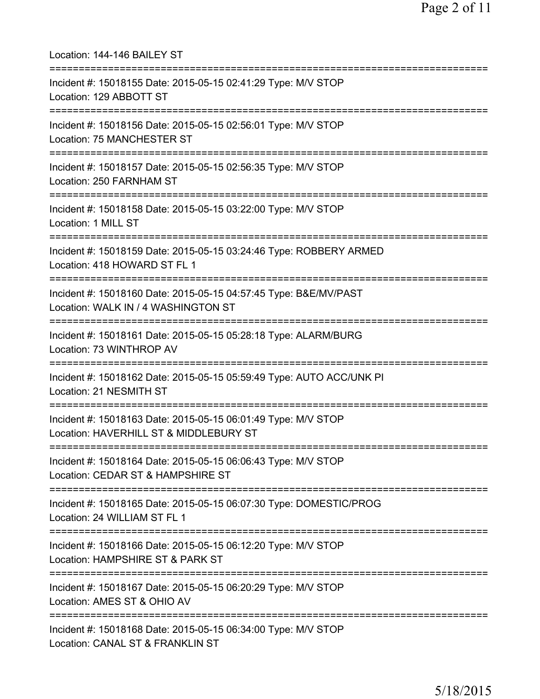| Location: 144-146 BAILEY ST                                                                                                          |
|--------------------------------------------------------------------------------------------------------------------------------------|
| Incident #: 15018155 Date: 2015-05-15 02:41:29 Type: M/V STOP<br>Location: 129 ABBOTT ST<br>================================         |
| Incident #: 15018156 Date: 2015-05-15 02:56:01 Type: M/V STOP<br>Location: 75 MANCHESTER ST<br>=================================     |
| Incident #: 15018157 Date: 2015-05-15 02:56:35 Type: M/V STOP<br>Location: 250 FARNHAM ST                                            |
| ================================<br>Incident #: 15018158 Date: 2015-05-15 03:22:00 Type: M/V STOP<br>Location: 1 MILL ST             |
| Incident #: 15018159 Date: 2015-05-15 03:24:46 Type: ROBBERY ARMED<br>Location: 418 HOWARD ST FL 1                                   |
| Incident #: 15018160 Date: 2015-05-15 04:57:45 Type: B&E/MV/PAST<br>Location: WALK IN / 4 WASHINGTON ST<br>.------------------------ |
| Incident #: 15018161 Date: 2015-05-15 05:28:18 Type: ALARM/BURG<br>Location: 73 WINTHROP AV                                          |
| Incident #: 15018162 Date: 2015-05-15 05:59:49 Type: AUTO ACC/UNK PI<br>Location: 21 NESMITH ST                                      |
| Incident #: 15018163 Date: 2015-05-15 06:01:49 Type: M/V STOP<br>Location: HAVERHILL ST & MIDDLEBURY ST                              |
| Incident #: 15018164 Date: 2015-05-15 06:06:43 Type: M/V STOP<br>Location: CEDAR ST & HAMPSHIRE ST                                   |
| Incident #: 15018165 Date: 2015-05-15 06:07:30 Type: DOMESTIC/PROG<br>Location: 24 WILLIAM ST FL 1                                   |
| Incident #: 15018166 Date: 2015-05-15 06:12:20 Type: M/V STOP<br>Location: HAMPSHIRE ST & PARK ST                                    |
| Incident #: 15018167 Date: 2015-05-15 06:20:29 Type: M/V STOP<br>Location: AMES ST & OHIO AV                                         |
| Incident #: 15018168 Date: 2015-05-15 06:34:00 Type: M/V STOP<br>Location: CANAL ST & FRANKLIN ST                                    |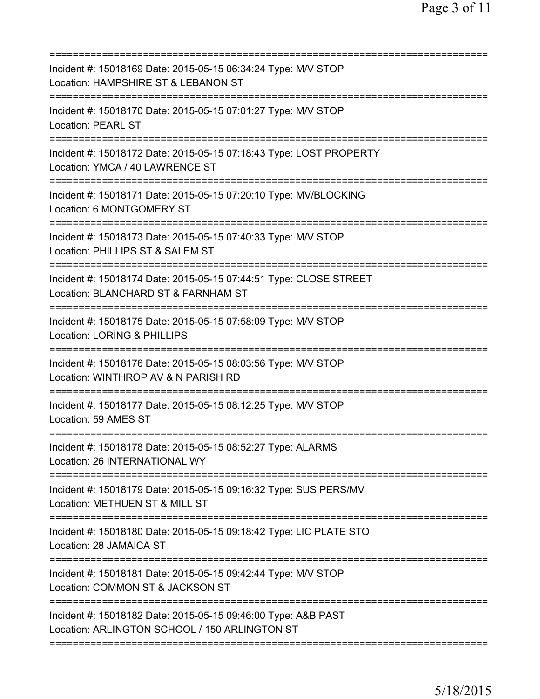| Incident #: 15018169 Date: 2015-05-15 06:34:24 Type: M/V STOP<br>Location: HAMPSHIRE ST & LEBANON ST<br>=========================    |
|--------------------------------------------------------------------------------------------------------------------------------------|
| Incident #: 15018170 Date: 2015-05-15 07:01:27 Type: M/V STOP<br><b>Location: PEARL ST</b>                                           |
| Incident #: 15018172 Date: 2015-05-15 07:18:43 Type: LOST PROPERTY<br>Location: YMCA / 40 LAWRENCE ST                                |
| Incident #: 15018171 Date: 2015-05-15 07:20:10 Type: MV/BLOCKING<br>Location: 6 MONTGOMERY ST                                        |
| Incident #: 15018173 Date: 2015-05-15 07:40:33 Type: M/V STOP<br>Location: PHILLIPS ST & SALEM ST                                    |
| Incident #: 15018174 Date: 2015-05-15 07:44:51 Type: CLOSE STREET<br>Location: BLANCHARD ST & FARNHAM ST                             |
| Incident #: 15018175 Date: 2015-05-15 07:58:09 Type: M/V STOP<br>Location: LORING & PHILLIPS                                         |
| Incident #: 15018176 Date: 2015-05-15 08:03:56 Type: M/V STOP<br>Location: WINTHROP AV & N PARISH RD<br>========================     |
| Incident #: 15018177 Date: 2015-05-15 08:12:25 Type: M/V STOP<br>Location: 59 AMES ST                                                |
| Incident #: 15018178 Date: 2015-05-15 08:52:27 Type: ALARMS<br>Location: 26 INTERNATIONAL WY                                         |
| Incident #: 15018179 Date: 2015-05-15 09:16:32 Type: SUS PERS/MV<br>Location: METHUEN ST & MILL ST                                   |
| Incident #: 15018180 Date: 2015-05-15 09:18:42 Type: LIC PLATE STO<br>Location: 28 JAMAICA ST                                        |
| Incident #: 15018181 Date: 2015-05-15 09:42:44 Type: M/V STOP<br>Location: COMMON ST & JACKSON ST<br>=============================== |
| Incident #: 15018182 Date: 2015-05-15 09:46:00 Type: A&B PAST<br>Location: ARLINGTON SCHOOL / 150 ARLINGTON ST                       |
|                                                                                                                                      |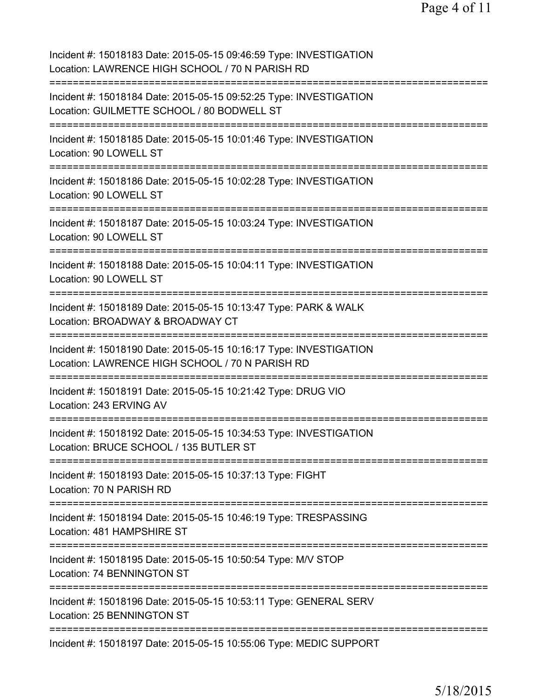Incident #: 15018183 Date: 2015-05-15 09:46:59 Type: INVESTIGATION Location: LAWRENCE HIGH SCHOOL / 70 N PARISH RD =========================================================================== Incident #: 15018184 Date: 2015-05-15 09:52:25 Type: INVESTIGATION Location: GUILMETTE SCHOOL / 80 BODWELL ST =========================================================================== Incident #: 15018185 Date: 2015-05-15 10:01:46 Type: INVESTIGATION Location: 90 LOWELL ST =========================================================================== Incident #: 15018186 Date: 2015-05-15 10:02:28 Type: INVESTIGATION Location: 90 LOWELL ST =========================================================================== Incident #: 15018187 Date: 2015-05-15 10:03:24 Type: INVESTIGATION Location: 90 LOWELL ST =========================================================================== Incident #: 15018188 Date: 2015-05-15 10:04:11 Type: INVESTIGATION Location: 90 LOWELL ST =========================================================================== Incident #: 15018189 Date: 2015-05-15 10:13:47 Type: PARK & WALK Location: BROADWAY & BROADWAY CT =========================================================================== Incident #: 15018190 Date: 2015-05-15 10:16:17 Type: INVESTIGATION Location: LAWRENCE HIGH SCHOOL / 70 N PARISH RD =========================================================================== Incident #: 15018191 Date: 2015-05-15 10:21:42 Type: DRUG VIO Location: 243 ERVING AV =========================================================================== Incident #: 15018192 Date: 2015-05-15 10:34:53 Type: INVESTIGATION Location: BRUCE SCHOOL / 135 BUTLER ST =========================================================================== Incident #: 15018193 Date: 2015-05-15 10:37:13 Type: FIGHT Location: 70 N PARISH RD =========================================================================== Incident #: 15018194 Date: 2015-05-15 10:46:19 Type: TRESPASSING Location: 481 HAMPSHIRE ST =========================================================================== Incident #: 15018195 Date: 2015-05-15 10:50:54 Type: M/V STOP Location: 74 BENNINGTON ST =========================================================================== Incident #: 15018196 Date: 2015-05-15 10:53:11 Type: GENERAL SERV Location: 25 BENNINGTON ST =========================================================================== Incident #: 15018197 Date: 2015-05-15 10:55:06 Type: MEDIC SUPPORT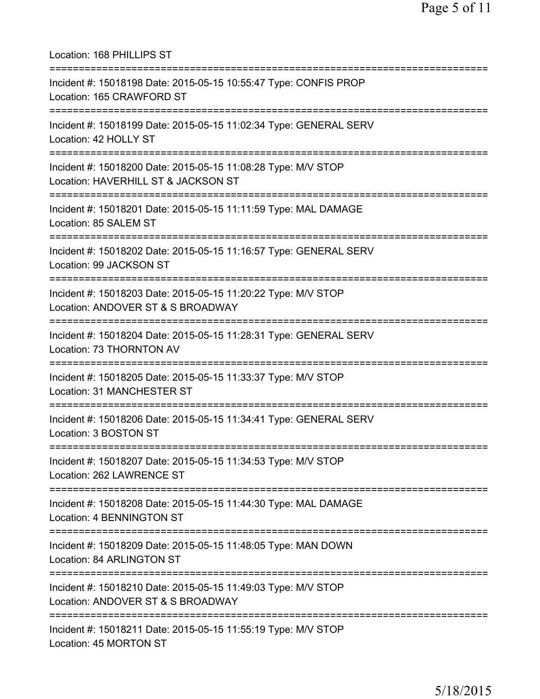Location: 168 PHILLIPS ST =========================================================================== Incident #: 15018198 Date: 2015-05-15 10:55:47 Type: CONFIS PROP Location: 165 CRAWFORD ST =========================================================================== Incident #: 15018199 Date: 2015-05-15 11:02:34 Type: GENERAL SERV Location: 42 HOLLY ST =========================================================================== Incident #: 15018200 Date: 2015-05-15 11:08:28 Type: M/V STOP Location: HAVERHILL ST & JACKSON ST =========================================================================== Incident #: 15018201 Date: 2015-05-15 11:11:59 Type: MAL DAMAGE Location: 85 SALEM ST =========================================================================== Incident #: 15018202 Date: 2015-05-15 11:16:57 Type: GENERAL SERV Location: 99 JACKSON ST =========================================================================== Incident #: 15018203 Date: 2015-05-15 11:20:22 Type: M/V STOP Location: ANDOVER ST & S BROADWAY =========================================================================== Incident #: 15018204 Date: 2015-05-15 11:28:31 Type: GENERAL SERV Location: 73 THORNTON AV =========================================================================== Incident #: 15018205 Date: 2015-05-15 11:33:37 Type: M/V STOP Location: 31 MANCHESTER ST =========================================================================== Incident #: 15018206 Date: 2015-05-15 11:34:41 Type: GENERAL SERV Location: 3 BOSTON ST =========================================================================== Incident #: 15018207 Date: 2015-05-15 11:34:53 Type: M/V STOP Location: 262 LAWRENCE ST =========================================================================== Incident #: 15018208 Date: 2015-05-15 11:44:30 Type: MAL DAMAGE Location: 4 BENNINGTON ST =========================================================================== Incident #: 15018209 Date: 2015-05-15 11:48:05 Type: MAN DOWN Location: 84 ARLINGTON ST =========================================================================== Incident #: 15018210 Date: 2015-05-15 11:49:03 Type: M/V STOP Location: ANDOVER ST & S BROADWAY =========================================================================== Incident #: 15018211 Date: 2015-05-15 11:55:19 Type: M/V STOP Location: 45 MORTON ST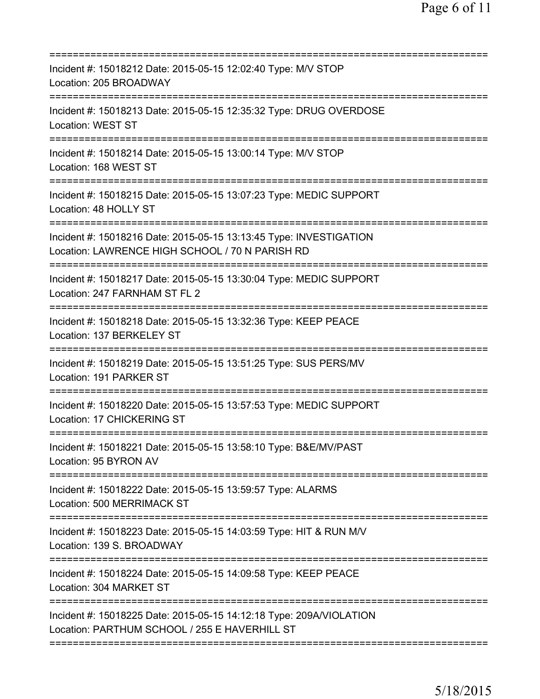| Incident #: 15018212 Date: 2015-05-15 12:02:40 Type: M/V STOP<br>Location: 205 BROADWAY                               |
|-----------------------------------------------------------------------------------------------------------------------|
| Incident #: 15018213 Date: 2015-05-15 12:35:32 Type: DRUG OVERDOSE<br>Location: WEST ST                               |
| Incident #: 15018214 Date: 2015-05-15 13:00:14 Type: M/V STOP<br>Location: 168 WEST ST                                |
| Incident #: 15018215 Date: 2015-05-15 13:07:23 Type: MEDIC SUPPORT<br>Location: 48 HOLLY ST                           |
| Incident #: 15018216 Date: 2015-05-15 13:13:45 Type: INVESTIGATION<br>Location: LAWRENCE HIGH SCHOOL / 70 N PARISH RD |
| Incident #: 15018217 Date: 2015-05-15 13:30:04 Type: MEDIC SUPPORT<br>Location: 247 FARNHAM ST FL 2                   |
| Incident #: 15018218 Date: 2015-05-15 13:32:36 Type: KEEP PEACE<br>Location: 137 BERKELEY ST                          |
| Incident #: 15018219 Date: 2015-05-15 13:51:25 Type: SUS PERS/MV<br>Location: 191 PARKER ST                           |
| Incident #: 15018220 Date: 2015-05-15 13:57:53 Type: MEDIC SUPPORT<br>Location: 17 CHICKERING ST                      |
| Incident #: 15018221 Date: 2015-05-15 13:58:10 Type: B&E/MV/PAST<br>Location: 95 BYRON AV                             |
| Incident #: 15018222 Date: 2015-05-15 13:59:57 Type: ALARMS<br>Location: 500 MERRIMACK ST                             |
| Incident #: 15018223 Date: 2015-05-15 14:03:59 Type: HIT & RUN M/V<br>Location: 139 S. BROADWAY                       |
| Incident #: 15018224 Date: 2015-05-15 14:09:58 Type: KEEP PEACE<br>Location: 304 MARKET ST                            |
| Incident #: 15018225 Date: 2015-05-15 14:12:18 Type: 209A/VIOLATION<br>Location: PARTHUM SCHOOL / 255 E HAVERHILL ST  |
|                                                                                                                       |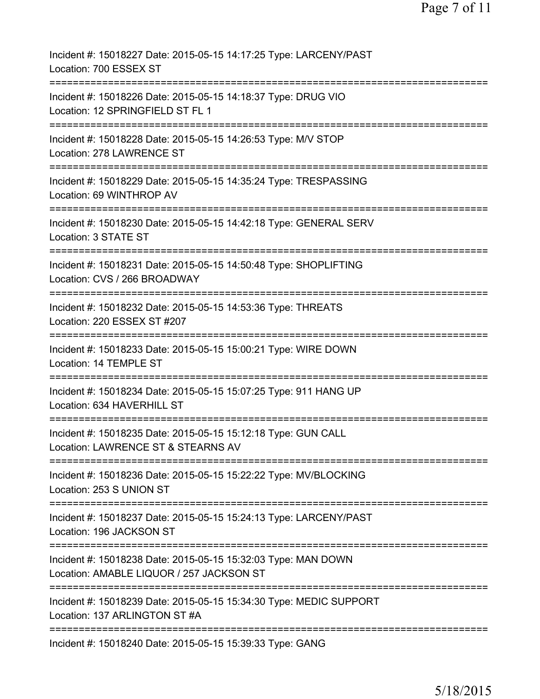| Incident #: 15018227 Date: 2015-05-15 14:17:25 Type: LARCENY/PAST<br>Location: 700 ESSEX ST                                      |
|----------------------------------------------------------------------------------------------------------------------------------|
| Incident #: 15018226 Date: 2015-05-15 14:18:37 Type: DRUG VIO<br>Location: 12 SPRINGFIELD ST FL 1                                |
| Incident #: 15018228 Date: 2015-05-15 14:26:53 Type: M/V STOP<br>Location: 278 LAWRENCE ST                                       |
| Incident #: 15018229 Date: 2015-05-15 14:35:24 Type: TRESPASSING<br>Location: 69 WINTHROP AV                                     |
| Incident #: 15018230 Date: 2015-05-15 14:42:18 Type: GENERAL SERV<br>Location: 3 STATE ST                                        |
| Incident #: 15018231 Date: 2015-05-15 14:50:48 Type: SHOPLIFTING<br>Location: CVS / 266 BROADWAY                                 |
| Incident #: 15018232 Date: 2015-05-15 14:53:36 Type: THREATS<br>Location: 220 ESSEX ST #207<br>===================               |
| Incident #: 15018233 Date: 2015-05-15 15:00:21 Type: WIRE DOWN<br>Location: 14 TEMPLE ST                                         |
| Incident #: 15018234 Date: 2015-05-15 15:07:25 Type: 911 HANG UP<br>Location: 634 HAVERHILL ST                                   |
| Incident #: 15018235 Date: 2015-05-15 15:12:18 Type: GUN CALL<br>Location: LAWRENCE ST & STEARNS AV                              |
| Incident #: 15018236 Date: 2015-05-15 15:22:22 Type: MV/BLOCKING<br>Location: 253 S UNION ST                                     |
| ===============================<br>Incident #: 15018237 Date: 2015-05-15 15:24:13 Type: LARCENY/PAST<br>Location: 196 JACKSON ST |
| Incident #: 15018238 Date: 2015-05-15 15:32:03 Type: MAN DOWN<br>Location: AMABLE LIQUOR / 257 JACKSON ST                        |
| Incident #: 15018239 Date: 2015-05-15 15:34:30 Type: MEDIC SUPPORT<br>Location: 137 ARLINGTON ST #A                              |
| Incident #: 15018240 Date: 2015-05-15 15:39:33 Type: GANG                                                                        |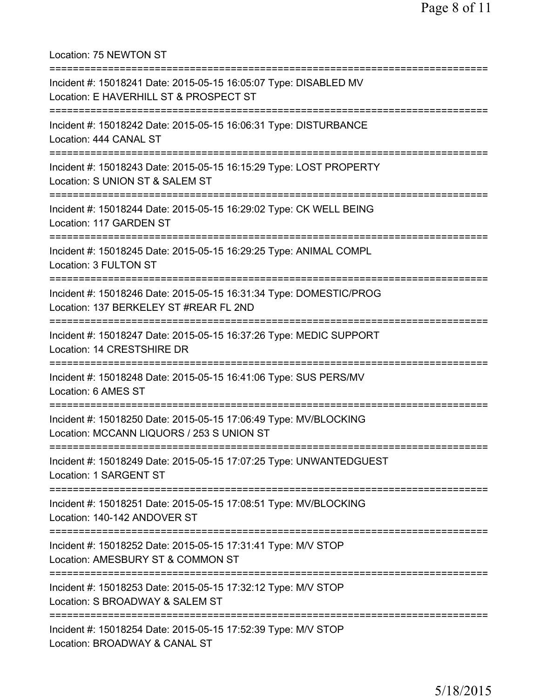Location: 75 NEWTON ST =========================================================================== Incident #: 15018241 Date: 2015-05-15 16:05:07 Type: DISABLED MV Location: E HAVERHILL ST & PROSPECT ST =========================================================================== Incident #: 15018242 Date: 2015-05-15 16:06:31 Type: DISTURBANCE Location: 444 CANAL ST =========================================================================== Incident #: 15018243 Date: 2015-05-15 16:15:29 Type: LOST PROPERTY Location: S UNION ST & SALEM ST =========================================================================== Incident #: 15018244 Date: 2015-05-15 16:29:02 Type: CK WELL BEING Location: 117 GARDEN ST =========================================================================== Incident #: 15018245 Date: 2015-05-15 16:29:25 Type: ANIMAL COMPL Location: 3 FULTON ST =========================================================================== Incident #: 15018246 Date: 2015-05-15 16:31:34 Type: DOMESTIC/PROG Location: 137 BERKELEY ST #REAR FL 2ND =========================================================================== Incident #: 15018247 Date: 2015-05-15 16:37:26 Type: MEDIC SUPPORT Location: 14 CRESTSHIRE DR =========================================================================== Incident #: 15018248 Date: 2015-05-15 16:41:06 Type: SUS PERS/MV Location: 6 AMES ST =========================================================================== Incident #: 15018250 Date: 2015-05-15 17:06:49 Type: MV/BLOCKING Location: MCCANN LIQUORS / 253 S UNION ST =========================================================================== Incident #: 15018249 Date: 2015-05-15 17:07:25 Type: UNWANTEDGUEST Location: 1 SARGENT ST =========================================================================== Incident #: 15018251 Date: 2015-05-15 17:08:51 Type: MV/BLOCKING Location: 140-142 ANDOVER ST =========================================================================== Incident #: 15018252 Date: 2015-05-15 17:31:41 Type: M/V STOP Location: AMESBURY ST & COMMON ST =========================================================================== Incident #: 15018253 Date: 2015-05-15 17:32:12 Type: M/V STOP Location: S BROADWAY & SALEM ST =========================================================================== Incident #: 15018254 Date: 2015-05-15 17:52:39 Type: M/V STOP Location: BROADWAY & CANAL ST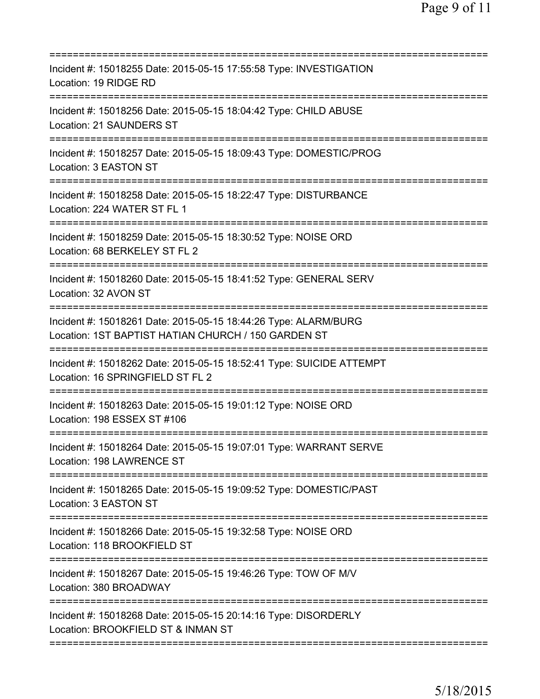| Incident #: 15018255 Date: 2015-05-15 17:55:58 Type: INVESTIGATION<br>Location: 19 RIDGE RD<br>========================                                  |
|----------------------------------------------------------------------------------------------------------------------------------------------------------|
| Incident #: 15018256 Date: 2015-05-15 18:04:42 Type: CHILD ABUSE<br><b>Location: 21 SAUNDERS ST</b>                                                      |
| Incident #: 15018257 Date: 2015-05-15 18:09:43 Type: DOMESTIC/PROG<br>Location: 3 EASTON ST                                                              |
| Incident #: 15018258 Date: 2015-05-15 18:22:47 Type: DISTURBANCE<br>Location: 224 WATER ST FL 1                                                          |
| Incident #: 15018259 Date: 2015-05-15 18:30:52 Type: NOISE ORD<br>Location: 68 BERKELEY ST FL 2                                                          |
| Incident #: 15018260 Date: 2015-05-15 18:41:52 Type: GENERAL SERV<br>Location: 32 AVON ST                                                                |
| Incident #: 15018261 Date: 2015-05-15 18:44:26 Type: ALARM/BURG<br>Location: 1ST BAPTIST HATIAN CHURCH / 150 GARDEN ST                                   |
| Incident #: 15018262 Date: 2015-05-15 18:52:41 Type: SUICIDE ATTEMPT<br>Location: 16 SPRINGFIELD ST FL 2<br>=========================<br>:============== |
| Incident #: 15018263 Date: 2015-05-15 19:01:12 Type: NOISE ORD<br>Location: 198 ESSEX ST #106                                                            |
| Incident #: 15018264 Date: 2015-05-15 19:07:01 Type: WARRANT SERVE<br>Location: 198 LAWRENCE ST                                                          |
| Incident #: 15018265 Date: 2015-05-15 19:09:52 Type: DOMESTIC/PAST<br>Location: 3 EASTON ST                                                              |
| Incident #: 15018266 Date: 2015-05-15 19:32:58 Type: NOISE ORD<br>Location: 118 BROOKFIELD ST                                                            |
| Incident #: 15018267 Date: 2015-05-15 19:46:26 Type: TOW OF M/V<br>Location: 380 BROADWAY                                                                |
| Incident #: 15018268 Date: 2015-05-15 20:14:16 Type: DISORDERLY<br>Location: BROOKFIELD ST & INMAN ST                                                    |
|                                                                                                                                                          |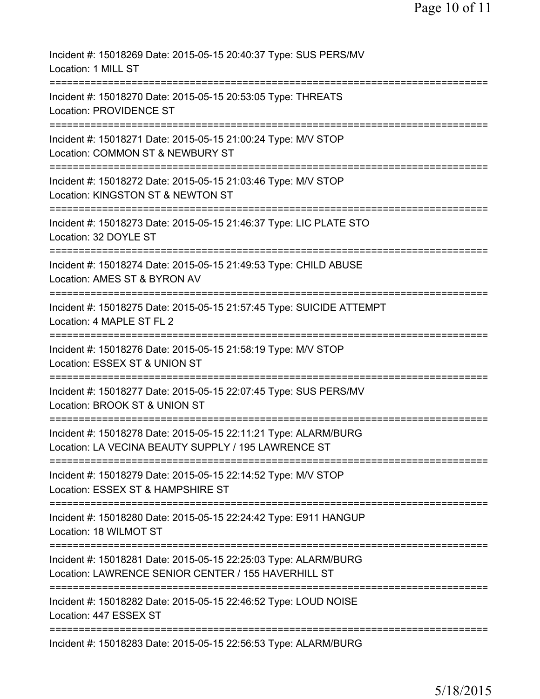| Incident #: 15018269 Date: 2015-05-15 20:40:37 Type: SUS PERS/MV<br>Location: 1 MILL ST                                   |
|---------------------------------------------------------------------------------------------------------------------------|
| Incident #: 15018270 Date: 2015-05-15 20:53:05 Type: THREATS<br>Location: PROVIDENCE ST                                   |
| Incident #: 15018271 Date: 2015-05-15 21:00:24 Type: M/V STOP<br>Location: COMMON ST & NEWBURY ST                         |
| Incident #: 15018272 Date: 2015-05-15 21:03:46 Type: M/V STOP<br>Location: KINGSTON ST & NEWTON ST                        |
| ==========================<br>Incident #: 15018273 Date: 2015-05-15 21:46:37 Type: LIC PLATE STO<br>Location: 32 DOYLE ST |
| ===================<br>Incident #: 15018274 Date: 2015-05-15 21:49:53 Type: CHILD ABUSE<br>Location: AMES ST & BYRON AV   |
| Incident #: 15018275 Date: 2015-05-15 21:57:45 Type: SUICIDE ATTEMPT<br>Location: 4 MAPLE ST FL 2                         |
| Incident #: 15018276 Date: 2015-05-15 21:58:19 Type: M/V STOP<br>Location: ESSEX ST & UNION ST                            |
| Incident #: 15018277 Date: 2015-05-15 22:07:45 Type: SUS PERS/MV<br>Location: BROOK ST & UNION ST                         |
| Incident #: 15018278 Date: 2015-05-15 22:11:21 Type: ALARM/BURG<br>Location: LA VECINA BEAUTY SUPPLY / 195 LAWRENCE ST    |
| Incident #: 15018279 Date: 2015-05-15 22:14:52 Type: M/V STOP<br>Location: ESSEX ST & HAMPSHIRE ST                        |
| Incident #: 15018280 Date: 2015-05-15 22:24:42 Type: E911 HANGUP<br>Location: 18 WILMOT ST                                |
| Incident #: 15018281 Date: 2015-05-15 22:25:03 Type: ALARM/BURG<br>Location: LAWRENCE SENIOR CENTER / 155 HAVERHILL ST    |
| ============================<br>Incident #: 15018282 Date: 2015-05-15 22:46:52 Type: LOUD NOISE<br>Location: 447 ESSEX ST |
| Incident #: 15018283 Date: 2015-05-15 22:56:53 Type: ALARM/BURG                                                           |